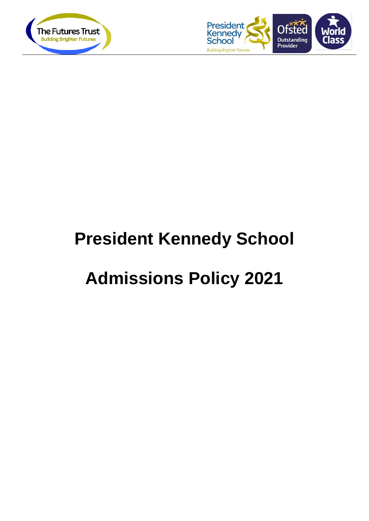



# **President Kennedy School**

## **Admissions Policy 2021**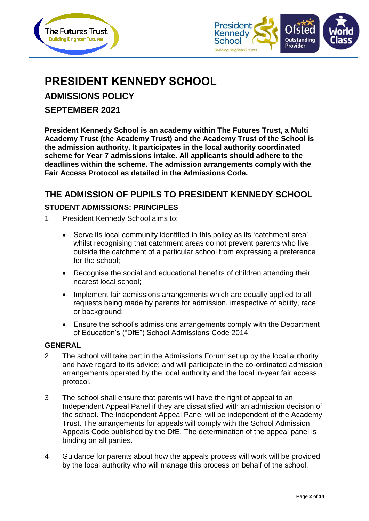



## **PRESIDENT KENNEDY SCHOOL**

**ADMISSIONS POLICY**

**SEPTEMBER 2021**

**President Kennedy School is an academy within The Futures Trust, a Multi Academy Trust (the Academy Trust) and the Academy Trust of the School is the admission authority. It participates in the local authority coordinated scheme for Year 7 admissions intake. All applicants should adhere to the deadlines within the scheme. The admission arrangements comply with the Fair Access Protocol as detailed in the Admissions Code.**

#### **THE ADMISSION OF PUPILS TO PRESIDENT KENNEDY SCHOOL**

#### **STUDENT ADMISSIONS: PRINCIPLES**

- 1 President Kennedy School aims to:
	- Serve its local community identified in this policy as its 'catchment area' whilst recognising that catchment areas do not prevent parents who live outside the catchment of a particular school from expressing a preference for the school;
	- Recognise the social and educational benefits of children attending their nearest local school;
	- Implement fair admissions arrangements which are equally applied to all requests being made by parents for admission, irrespective of ability, race or background;
	- Ensure the school's admissions arrangements comply with the Department of Education's ("DfE") School Admissions Code 2014.

#### **GENERAL**

- 2 The school will take part in the Admissions Forum set up by the local authority and have regard to its advice; and will participate in the co-ordinated admission arrangements operated by the local authority and the local in-year fair access protocol.
- 3 The school shall ensure that parents will have the right of appeal to an Independent Appeal Panel if they are dissatisfied with an admission decision of the school. The Independent Appeal Panel will be independent of the Academy Trust. The arrangements for appeals will comply with the School Admission Appeals Code published by the DfE. The determination of the appeal panel is binding on all parties.
- 4 Guidance for parents about how the appeals process will work will be provided by the local authority who will manage this process on behalf of the school.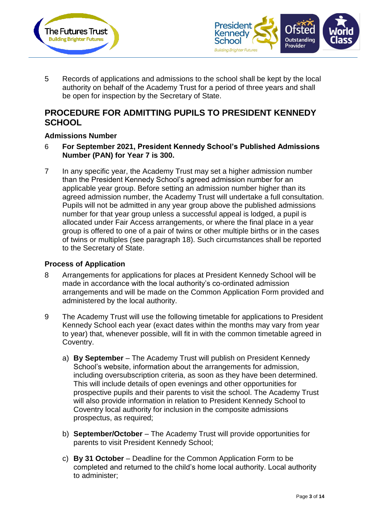



5 Records of applications and admissions to the school shall be kept by the local authority on behalf of the Academy Trust for a period of three years and shall be open for inspection by the Secretary of State.

#### **PROCEDURE FOR ADMITTING PUPILS TO PRESIDENT KENNEDY SCHOOL**

#### **Admissions Number**

- 6 **For September 2021, President Kennedy School's Published Admissions Number (PAN) for Year 7 is 300.**
- 7 In any specific year, the Academy Trust may set a higher admission number than the President Kennedy School's agreed admission number for an applicable year group. Before setting an admission number higher than its agreed admission number, the Academy Trust will undertake a full consultation. Pupils will not be admitted in any year group above the published admissions number for that year group unless a successful appeal is lodged, a pupil is allocated under Fair Access arrangements, or where the final place in a year group is offered to one of a pair of twins or other multiple births or in the cases of twins or multiples (see paragraph 18). Such circumstances shall be reported to the Secretary of State.

#### **Process of Application**

- 8 Arrangements for applications for places at President Kennedy School will be made in accordance with the local authority's co-ordinated admission arrangements and will be made on the Common Application Form provided and administered by the local authority.
- 9 The Academy Trust will use the following timetable for applications to President Kennedy School each year (exact dates within the months may vary from year to year) that, whenever possible, will fit in with the common timetable agreed in Coventry.
	- a) **By September** The Academy Trust will publish on President Kennedy School's website, information about the arrangements for admission, including oversubscription criteria, as soon as they have been determined. This will include details of open evenings and other opportunities for prospective pupils and their parents to visit the school. The Academy Trust will also provide information in relation to President Kennedy School to Coventry local authority for inclusion in the composite admissions prospectus, as required;
	- b) **September/October** The Academy Trust will provide opportunities for parents to visit President Kennedy School;
	- c) **By 31 October** Deadline for the Common Application Form to be completed and returned to the child's home local authority. Local authority to administer;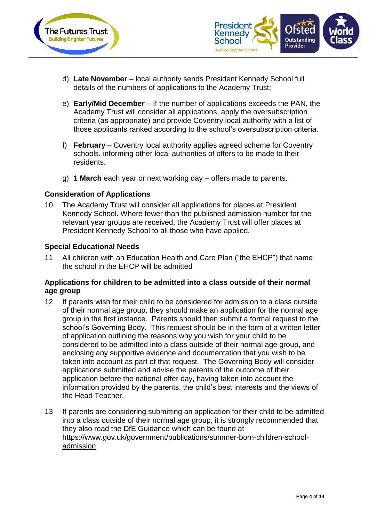



- d) **Late November** local authority sends President Kennedy School full details of the numbers of applications to the Academy Trust;
- e) **Early/Mid December** If the number of applications exceeds the PAN, the Academy Trust will consider all applications, apply the oversubscription criteria (as appropriate) and provide Coventry local authority with a list of those applicants ranked according to the school's oversubscription criteria.
- f) **February** Coventry local authority applies agreed scheme for Coventry schools, informing other local authorities of offers to be made to their residents.
- g) **1 March** each year or next working day offers made to parents.

#### **Consideration of Applications**

10 The Academy Trust will consider all applications for places at President Kennedy School. Where fewer than the published admission number for the relevant year groups are received, the Academy Trust will offer places at President Kennedy School to all those who have applied.

#### **Special Educational Needs**

11 All children with an Education Health and Care Plan ("the EHCP") that name the school in the EHCP will be admitted

#### **Applications for children to be admitted into a class outside of their normal age group**

- 12 If parents wish for their child to be considered for admission to a class outside of their normal age group, they should make an application for the normal age group in the first instance. Parents should then submit a formal request to the school's Governing Body. This request should be in the form of a written letter of application outlining the reasons why you wish for your child to be considered to be admitted into a class outside of their normal age group, and enclosing any supportive evidence and documentation that you wish to be taken into account as part of that request. The Governing Body will consider applications submitted and advise the parents of the outcome of their application before the national offer day, having taken into account the information provided by the parents, the child's best interests and the views of the Head Teacher.
- 13 If parents are considering submitting an application for their child to be admitted into a class outside of their normal age group, it is strongly recommended that they also read the DfE Guidance which can be found at [https://www.gov.uk/government/publications/summer-born-children-school](https://www.gov.uk/government/publications/summer-born-children-school-admission)[admission.](https://www.gov.uk/government/publications/summer-born-children-school-admission)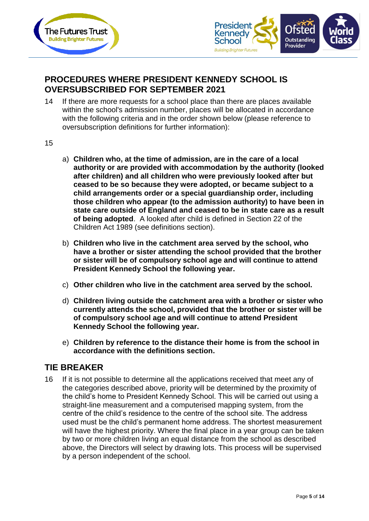



## **PROCEDURES WHERE PRESIDENT KENNEDY SCHOOL IS OVERSUBSCRIBED FOR SEPTEMBER 2021**

- 14 If there are more requests for a school place than there are places available within the school's admission number, places will be allocated in accordance with the following criteria and in the order shown below (please reference to oversubscription definitions for further information):
- 15
- a) **Children who, at the time of admission, are in the care of a local authority or are provided with accommodation by the authority (looked after children) and all children who were previously looked after but ceased to be so because they were adopted, or became subject to a child arrangements order or a special guardianship order, including those children who appear (to the admission authority) to have been in state care outside of England and ceased to be in state care as a result of being adopted**. A looked after child is defined in Section 22 of the Children Act 1989 (see definitions section).
- b) **Children who live in the catchment area served by the school, who have a brother or sister attending the school provided that the brother or sister will be of compulsory school age and will continue to attend President Kennedy School the following year.**
- c) **Other children who live in the catchment area served by the school.**
- d) **Children living outside the catchment area with a brother or sister who currently attends the school, provided that the brother or sister will be of compulsory school age and will continue to attend President Kennedy School the following year.**
- e) **Children by reference to the distance their home is from the school in accordance with the definitions section.**

#### **TIE BREAKER**

16 If it is not possible to determine all the applications received that meet any of the categories described above, priority will be determined by the proximity of the child's home to President Kennedy School. This will be carried out using a straight-line measurement and a computerised mapping system, from the centre of the child's residence to the centre of the school site. The address used must be the child's permanent home address. The shortest measurement will have the highest priority. Where the final place in a year group can be taken by two or more children living an equal distance from the school as described above, the Directors will select by drawing lots. This process will be supervised by a person independent of the school.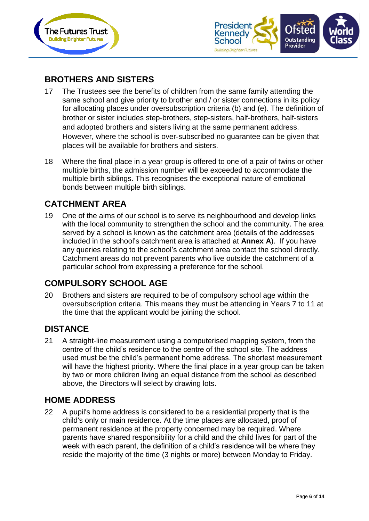



## **BROTHERS AND SISTERS**

- 17 The Trustees see the benefits of children from the same family attending the same school and give priority to brother and / or sister connections in its policy for allocating places under oversubscription criteria (b) and (e). The definition of brother or sister includes step‐brothers, step‐sisters, half‐brothers, half‐sisters and adopted brothers and sisters living at the same permanent address. However, where the school is over‐subscribed no guarantee can be given that places will be available for brothers and sisters.
- 18 Where the final place in a year group is offered to one of a pair of twins or other multiple births, the admission number will be exceeded to accommodate the multiple birth siblings. This recognises the exceptional nature of emotional bonds between multiple birth siblings.

#### **CATCHMENT AREA**

19 One of the aims of our school is to serve its neighbourhood and develop links with the local community to strengthen the school and the community. The area served by a school is known as the catchment area (details of the addresses included in the school's catchment area is attached at **Annex A**). If you have any queries relating to the school's catchment area contact the school directly. Catchment areas do not prevent parents who live outside the catchment of a particular school from expressing a preference for the school.

#### **COMPULSORY SCHOOL AGE**

20 Brothers and sisters are required to be of compulsory school age within the oversubscription criteria. This means they must be attending in Years 7 to 11 at the time that the applicant would be joining the school.

#### **DISTANCE**

21 A straight-line measurement using a computerised mapping system, from the centre of the child's residence to the centre of the school site. The address used must be the child's permanent home address. The shortest measurement will have the highest priority. Where the final place in a year group can be taken by two or more children living an equal distance from the school as described above, the Directors will select by drawing lots.

#### **HOME ADDRESS**

22 A pupil's home address is considered to be a residential property that is the child's only or main residence. At the time places are allocated, proof of permanent residence at the property concerned may be required. Where parents have shared responsibility for a child and the child lives for part of the week with each parent, the definition of a child's residence will be where they reside the majority of the time (3 nights or more) between Monday to Friday.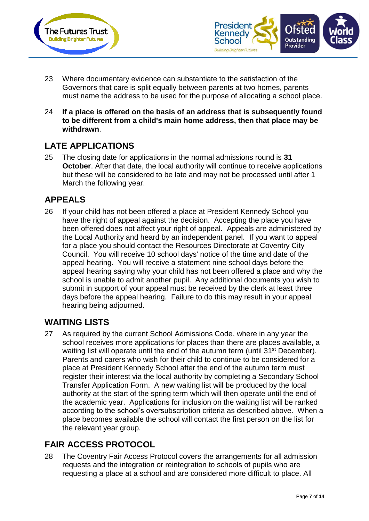



- 23 Where documentary evidence can substantiate to the satisfaction of the Governors that care is split equally between parents at two homes, parents must name the address to be used for the purpose of allocating a school place.
- 24 **If a place is offered on the basis of an address that is subsequently found to be different from a child's main home address, then that place may be withdrawn**.

## **LATE APPLICATIONS**

25 The closing date for applications in the normal admissions round is **31 October**. After that date, the local authority will continue to receive applications but these will be considered to be late and may not be processed until after 1 March the following year.

## **APPEALS**

26 If your child has not been offered a place at President Kennedy School you have the right of appeal against the decision. Accepting the place you have been offered does not affect your right of appeal. Appeals are administered by the Local Authority and heard by an independent panel. If you want to appeal for a place you should contact the Resources Directorate at Coventry City Council. You will receive 10 school days' notice of the time and date of the appeal hearing. You will receive a statement nine school days before the appeal hearing saying why your child has not been offered a place and why the school is unable to admit another pupil. Any additional documents you wish to submit in support of your appeal must be received by the clerk at least three days before the appeal hearing. Failure to do this may result in your appeal hearing being adjourned.

#### **WAITING LISTS**

27 As required by the current School Admissions Code, where in any year the school receives more applications for places than there are places available, a waiting list will operate until the end of the autumn term (until 31<sup>st</sup> December). Parents and carers who wish for their child to continue to be considered for a place at President Kennedy School after the end of the autumn term must register their interest via the local authority by completing a Secondary School Transfer Application Form. A new waiting list will be produced by the local authority at the start of the spring term which will then operate until the end of the academic year. Applications for inclusion on the waiting list will be ranked according to the school's oversubscription criteria as described above. When a place becomes available the school will contact the first person on the list for the relevant year group.

## **FAIR ACCESS PROTOCOL**

28 The Coventry Fair Access Protocol covers the arrangements for all admission requests and the integration or reintegration to schools of pupils who are requesting a place at a school and are considered more difficult to place. All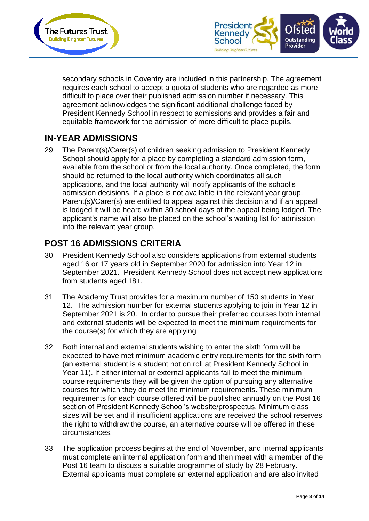



secondary schools in Coventry are included in this partnership. The agreement requires each school to accept a quota of students who are regarded as more difficult to place over their published admission number if necessary. This agreement acknowledges the significant additional challenge faced by President Kennedy School in respect to admissions and provides a fair and equitable framework for the admission of more difficult to place pupils.

## **IN-YEAR ADMISSIONS**

29 The Parent(s)/Carer(s) of children seeking admission to President Kennedy School should apply for a place by completing a standard admission form, available from the school or from the local authority. Once completed, the form should be returned to the local authority which coordinates all such applications, and the local authority will notify applicants of the school's admission decisions. If a place is not available in the relevant year group, Parent(s)/Carer(s) are entitled to appeal against this decision and if an appeal is lodged it will be heard within 30 school days of the appeal being lodged. The applicant's name will also be placed on the school's waiting list for admission into the relevant year group.

## **POST 16 ADMISSIONS CRITERIA**

- 30 President Kennedy School also considers applications from external students aged 16 or 17 years old in September 2020 for admission into Year 12 in September 2021. President Kennedy School does not accept new applications from students aged 18+.
- 31 The Academy Trust provides for a maximum number of 150 students in Year 12. The admission number for external students applying to join in Year 12 in September 2021 is 20. In order to pursue their preferred courses both internal and external students will be expected to meet the minimum requirements for the course(s) for which they are applying
- 32 Both internal and external students wishing to enter the sixth form will be expected to have met minimum academic entry requirements for the sixth form (an external student is a student not on roll at President Kennedy School in Year 11). If either internal or external applicants fail to meet the minimum course requirements they will be given the option of pursuing any alternative courses for which they do meet the minimum requirements. These minimum requirements for each course offered will be published annually on the Post 16 section of President Kennedy School's website/prospectus. Minimum class sizes will be set and if insufficient applications are received the school reserves the right to withdraw the course, an alternative course will be offered in these circumstances.
- 33 The application process begins at the end of November, and internal applicants must complete an internal application form and then meet with a member of the Post 16 team to discuss a suitable programme of study by 28 February. External applicants must complete an external application and are also invited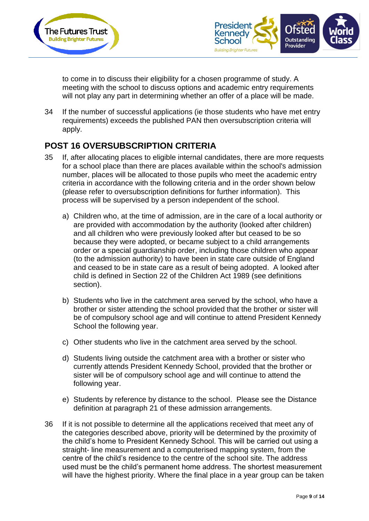



to come in to discuss their eligibility for a chosen programme of study. A meeting with the school to discuss options and academic entry requirements will not play any part in determining whether an offer of a place will be made.

34 If the number of successful applications (ie those students who have met entry requirements) exceeds the published PAN then oversubscription criteria will apply.

## **POST 16 OVERSUBSCRIPTION CRITERIA**

- 35 If, after allocating places to eligible internal candidates, there are more requests for a school place than there are places available within the school's admission number, places will be allocated to those pupils who meet the academic entry criteria in accordance with the following criteria and in the order shown below (please refer to oversubscription definitions for further information). This process will be supervised by a person independent of the school.
	- a) Children who, at the time of admission, are in the care of a local authority or are provided with accommodation by the authority (looked after children) and all children who were previously looked after but ceased to be so because they were adopted, or became subject to a child arrangements order or a special guardianship order, including those children who appear (to the admission authority) to have been in state care outside of England and ceased to be in state care as a result of being adopted. A looked after child is defined in Section 22 of the Children Act 1989 (see definitions section).
	- b) Students who live in the catchment area served by the school, who have a brother or sister attending the school provided that the brother or sister will be of compulsory school age and will continue to attend President Kennedy School the following year.
	- c) Other students who live in the catchment area served by the school.
	- d) Students living outside the catchment area with a brother or sister who currently attends President Kennedy School, provided that the brother or sister will be of compulsory school age and will continue to attend the following year.
	- e) Students by reference by distance to the school. Please see the Distance definition at paragraph 21 of these admission arrangements.
- 36 If it is not possible to determine all the applications received that meet any of the categories described above, priority will be determined by the proximity of the child's home to President Kennedy School. This will be carried out using a straight- line measurement and a computerised mapping system, from the centre of the child's residence to the centre of the school site. The address used must be the child's permanent home address. The shortest measurement will have the highest priority. Where the final place in a year group can be taken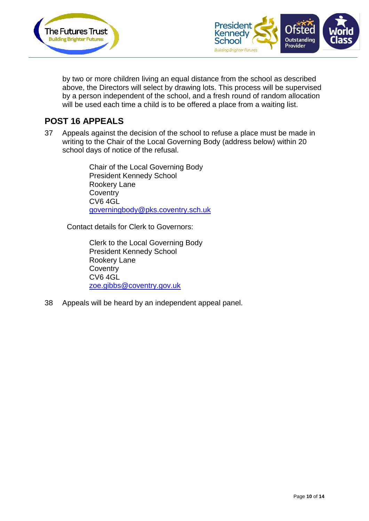



by two or more children living an equal distance from the school as described above, the Directors will select by drawing lots. This process will be supervised by a person independent of the school, and a fresh round of random allocation will be used each time a child is to be offered a place from a waiting list.

#### **POST 16 APPEALS**

37 Appeals against the decision of the school to refuse a place must be made in writing to the Chair of the Local Governing Body (address below) within 20 school days of notice of the refusal.

> Chair of the Local Governing Body President Kennedy School Rookery Lane **Coventry** CV6 4GL [governingbody@pks.coventry.sch.uk](mailto:governingbody@pks.coventry.sch.uk)

Contact details for Clerk to Governors:

Clerk to the Local Governing Body President Kennedy School Rookery Lane **Coventry** CV6 4GL [zoe.gibbs@coventry.gov.uk](mailto:zoe.gibbs@coventry.gov.uk)

38 Appeals will be heard by an independent appeal panel.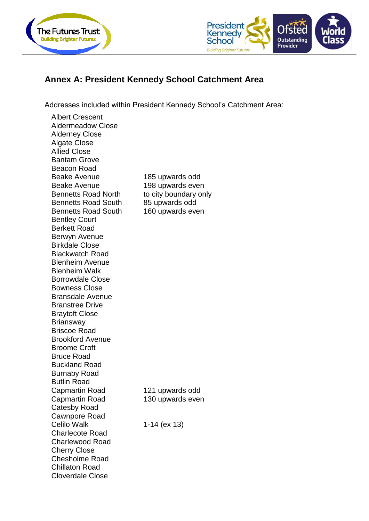



## **Annex A: President Kennedy School Catchment Area**

Addresses included within President Kennedy School's Catchment Area:

Albert Crescent Aldermeadow Close Alderney Close Algate Close Allied Close Bantam Grove Beacon Road Beake Avenue 185 upwards odd Beake Avenue 198 upwards even Bennetts Road North to city boundary only Bennetts Road South 85 upwards odd Bennetts Road South 160 upwards even Bentley Court Berkett Road Berwyn Avenue Birkdale Close Blackwatch Road Blenheim Avenue Blenheim Walk Borrowdale Close Bowness Close Bransdale Avenue Branstree Drive Braytoft Close **Briansway** Briscoe Road Brookford Avenue Broome Croft Bruce Road Buckland Road Burnaby Road Butlin Road Capmartin Road 121 upwards odd Capmartin Road 130 upwards even Catesby Road Cawnpore Road Celilo Walk 1-14 (ex 13) Charlecote Road Charlewood Road Cherry Close Chesholme Road Chillaton Road Cloverdale Close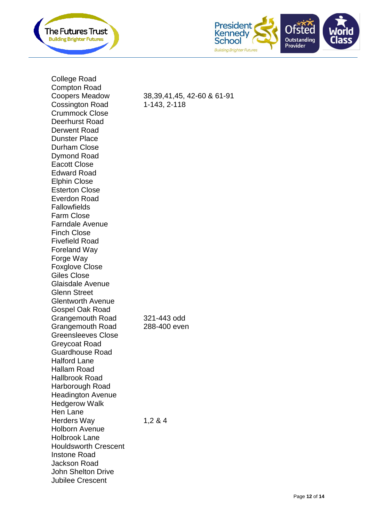



College Road Compton Road Coopers Meadow Cossington Road Crummock Close Deerhurst Road Derwent Road Dunster Place Durham Close Dymond Road Eacott Close Edward Road Elphin Close Esterton Close Everdon Road **Fallowfields** Farm Close Farndale Avenue Finch Close Fivefield Road Foreland Way Forge Way Foxglove Close Giles Close Glaisdale Avenue Glenn Street Glentworth Avenue Gospel Oak Road Grangemouth Road  $321 - 443$  odd Grangemouth Road 288-400 even Greensleeves Close Greycoat Road Guardhouse Road Halford Lane Hallam Road Hallbrook Road Harborough Road Headington Avenue Hedgerow Walk Hen Lane Herders Way 1,2 & 4 Holborn Avenue Holbrook Lane Houldsworth Crescent Instone Road Jackson Road John Shelton Drive Jubilee Crescent

-60 & 61 -91 1 -143, 2 -118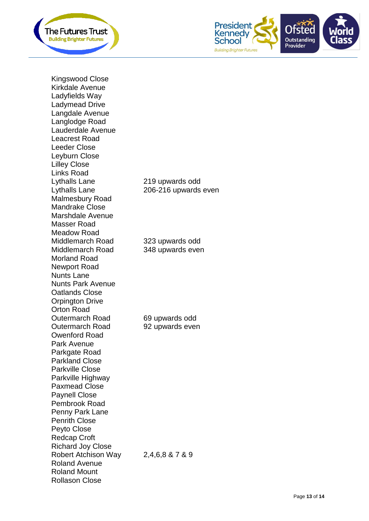



Kingswood Close Kirkdale Avenue Ladyfields Way Ladymead Drive Langdale Avenue Langlodge Road Lauderdale Avenue Leacrest Road Leeder Close Leyburn Close Lilley Close Links Road Lythalls Lane 219 upwards odd Lythalls Lane Malmesbury Road Mandrake Close Marshdale Avenue Masser Road Meadow Road Middlemarch Road 323 upwards odd Middlemarch Road 348 upwards even Morland Road Newport Road Nunts Lane Nunts Park Avenue Oatlands Close Orpington Drive Orton Road Outermarch Road 69 upwards odd Outermarch Road 92 upwards even Owenford Road Park Avenue Parkgate Road Parkland Close Parkville Close Parkville Highway Paxmead Close Paynell Close Pembrook Road Penny Park Lane Penrith Close Peyto Close Redcap Croft Richard Joy Close Robert Atchison Way 2,4,6,8 & 7 & 9 Roland Avenue Roland Mount Rollason Close

206-216 upwards even